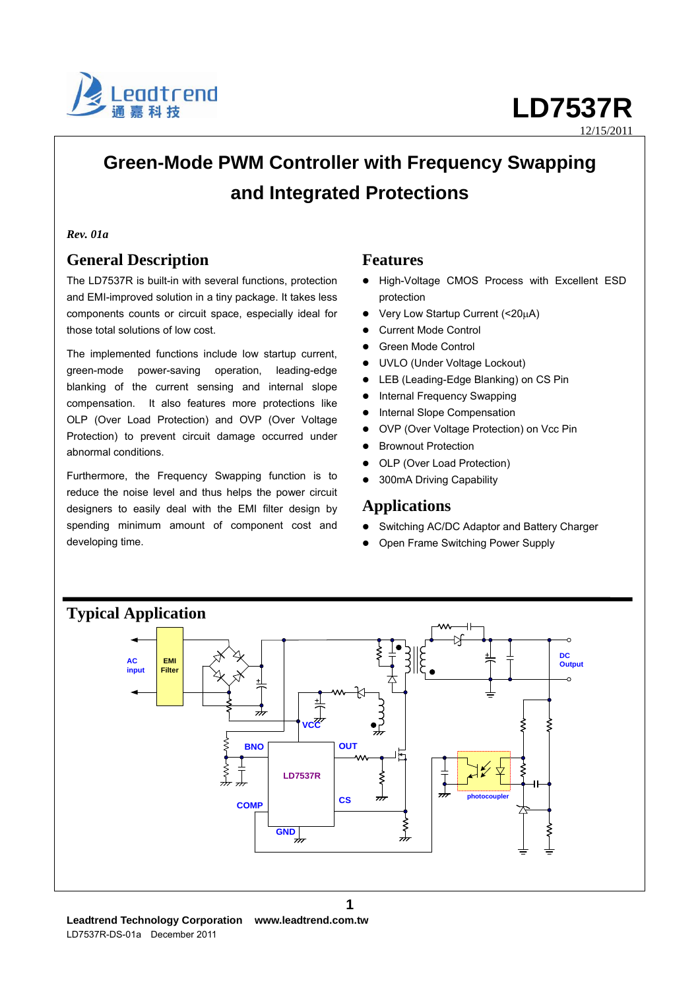

12/15/2011

# **Green-Mode PWM Controller with Frequency Swapping and Integrated Protections**

#### *Rev. 01a*

## **General Description**

The LD7537R is built-in with several functions, protection and EMI-improved solution in a tiny package. It takes less components counts or circuit space, especially ideal for those total solutions of low cost.

The implemented functions include low startup current, green-mode power-saving operation, leading-edge blanking of the current sensing and internal slope compensation. It also features more protections like OLP (Over Load Protection) and OVP (Over Voltage Protection) to prevent circuit damage occurred under abnormal conditions.

Furthermore, the Frequency Swapping function is to reduce the noise level and thus helps the power circuit designers to easily deal with the EMI filter design by spending minimum amount of component cost and developing time.

## **Features**

- High-Voltage CMOS Process with Excellent ESD protection
- Very Low Startup Current (<20μA)
- Current Mode Control
- Green Mode Control
- UVLO (Under Voltage Lockout)
- LEB (Leading-Edge Blanking) on CS Pin
- Internal Frequency Swapping
- Internal Slope Compensation
- OVP (Over Voltage Protection) on Vcc Pin
- **•** Brownout Protection
- OLP (Over Load Protection)
- 300mA Driving Capability

## **Applications**

- Switching AC/DC Adaptor and Battery Charger
- Open Frame Switching Power Supply

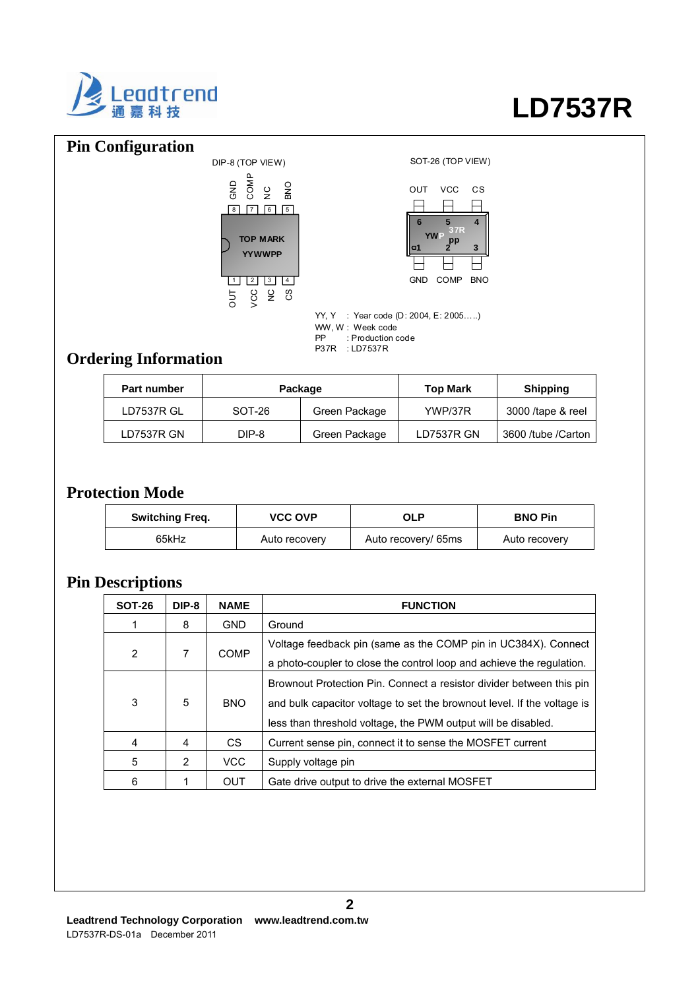

# **Pin Configuration**





YY, Y : Year code (D: 2004, E: 2005…..) WW, W : Week code PP : Production code P37R : LD7537R

# **Ordering Information**

| Part number | Package  |               | <b>Top Mark</b> | Shipping           |
|-------------|----------|---------------|-----------------|--------------------|
| LD7537R GL  | $SOT-26$ | Green Package | YWP/37R         | 3000 /tape & reel  |
| LD7537R GN  | DIP-8    | Green Package | LD7537R GN      | 3600 /tube /Carton |

# **Protection Mode**

| <b>Switching Freq.</b> | <b>VCC OVP</b> | OLP                 | <b>BNO Pin</b> |
|------------------------|----------------|---------------------|----------------|
| 65kHz                  | Auto recovery  | Auto recovery/ 65ms | Auto recovery  |

## **Pin Descriptions**

| <b>SOT-26</b> | DIP-8 | <b>NAME</b> | <b>FUNCTION</b>                                                                                                                                                                                                  |
|---------------|-------|-------------|------------------------------------------------------------------------------------------------------------------------------------------------------------------------------------------------------------------|
|               | 8     | <b>GND</b>  | Ground                                                                                                                                                                                                           |
| 2             | 7     | <b>COMP</b> | Voltage feedback pin (same as the COMP pin in UC384X). Connect<br>a photo-coupler to close the control loop and achieve the regulation.                                                                          |
| 3             | 5     | <b>BNO</b>  | Brownout Protection Pin. Connect a resistor divider between this pin<br>and bulk capacitor voltage to set the brownout level. If the voltage is<br>less than threshold voltage, the PWM output will be disabled. |
| 4             | 4     | CS.         | Current sense pin, connect it to sense the MOSFET current                                                                                                                                                        |
| 5             | 2     | <b>VCC</b>  | Supply voltage pin                                                                                                                                                                                               |
| 6             |       | OUT         | Gate drive output to drive the external MOSFET                                                                                                                                                                   |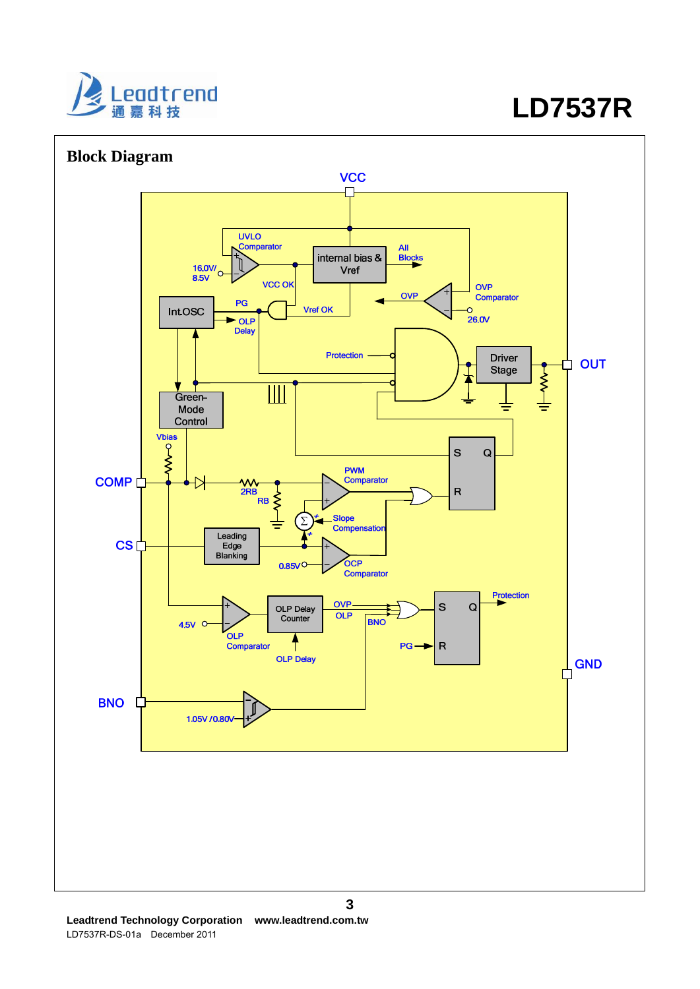

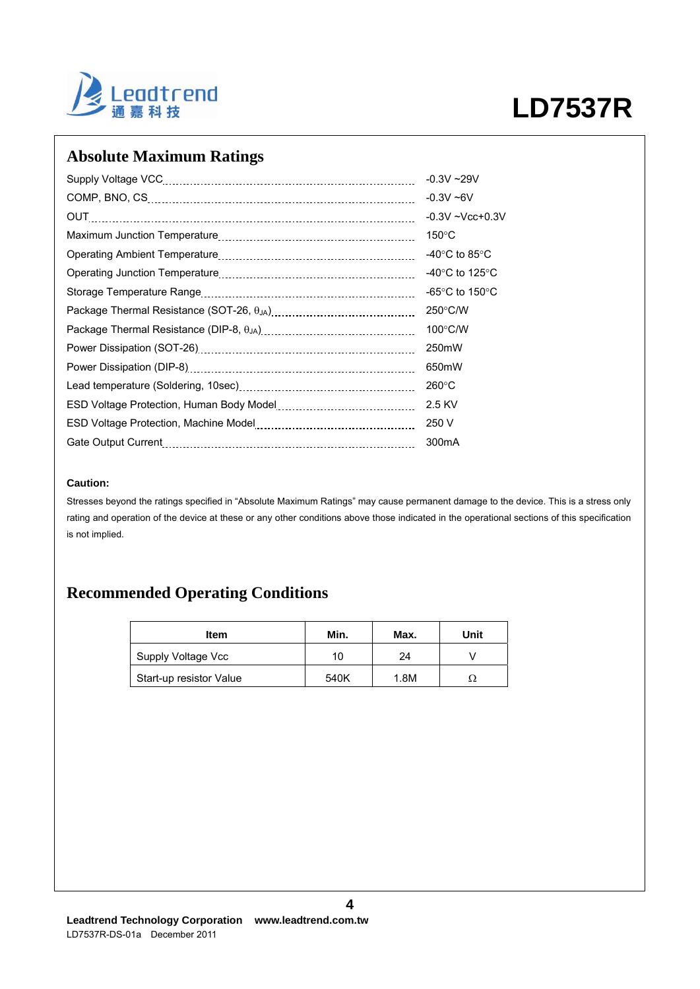

# **Absolute Maximum Ratings**

|                                                                                                                | $-0.3V - 29V$                                        |
|----------------------------------------------------------------------------------------------------------------|------------------------------------------------------|
|                                                                                                                | $-0.3V - 6V$                                         |
| OUT                                                                                                            | $-0.3V - Vcc + 0.3V$                                 |
|                                                                                                                | $150^{\circ}$ C                                      |
|                                                                                                                | -40 $\rm ^{\circ}C$ to 85 $\rm ^{\circ}C$            |
|                                                                                                                | -40 $\mathrm{^{\circ}C}$ to 125 $\mathrm{^{\circ}C}$ |
|                                                                                                                | -65 $\degree$ C to 150 $\degree$ C                   |
|                                                                                                                | $250^{\circ}$ C/W                                    |
|                                                                                                                | $100^{\circ}$ C/W                                    |
|                                                                                                                | 250mW                                                |
|                                                                                                                | 650mW                                                |
|                                                                                                                | $260^{\circ}$ C                                      |
|                                                                                                                | 2.5 KV                                               |
| ESD Voltage Protection, Machine Model [111] [11] University Montage Protection, Machine Model [11] [12] [12] [ | 250 V                                                |
| Gate Output Current                                                                                            | 300 <sub>m</sub> A                                   |

### **Caution:**

Stresses beyond the ratings specified in "Absolute Maximum Ratings" may cause permanent damage to the device. This is a stress only rating and operation of the device at these or any other conditions above those indicated in the operational sections of this specification is not implied.

# **Recommended Operating Conditions**

| Item                    | Min. | Max. | Unit |
|-------------------------|------|------|------|
| Supply Voltage Vcc      | 10   | 24   |      |
| Start-up resistor Value | 540K | 1.8M |      |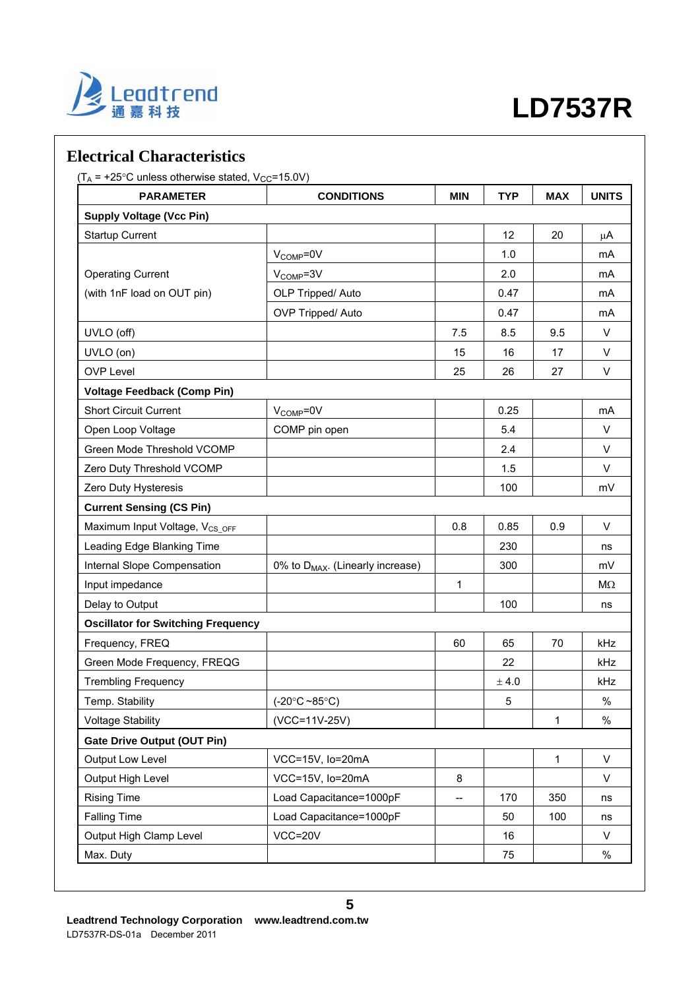

## **Electrical Characteristics**

 $(T_A = +25^{\circ}C$  unless otherwise stated,  $V_{CC} = 15.0V$ )

| <b>PARAMETER</b>                           | <b>CONDITIONS</b>                            | <b>MIN</b> | <b>TYP</b> | <b>MAX</b>   | <b>UNITS</b> |
|--------------------------------------------|----------------------------------------------|------------|------------|--------------|--------------|
| <b>Supply Voltage (Vcc Pin)</b>            |                                              |            |            |              |              |
| <b>Startup Current</b>                     |                                              |            | 12         | 20           | μA           |
|                                            | $V_{\text{COMP}} = 0V$                       |            | 1.0        |              | mA           |
| <b>Operating Current</b>                   | $V_{COMP} = 3V$                              |            | 2.0        |              | mA           |
| (with 1nF load on OUT pin)                 | OLP Tripped/ Auto                            |            | 0.47       |              | mA           |
|                                            | OVP Tripped/ Auto                            |            | 0.47       |              | mA           |
| UVLO (off)                                 |                                              | 7.5        | 8.5        | 9.5          | V            |
| UVLO (on)                                  |                                              | 15         | 16         | 17           | V            |
| <b>OVP Level</b>                           |                                              | 25         | 26         | 27           | $\vee$       |
| <b>Voltage Feedback (Comp Pin)</b>         |                                              |            |            |              |              |
| <b>Short Circuit Current</b>               | V <sub>COMP</sub> =0V                        |            | 0.25       |              | mA           |
| Open Loop Voltage                          | COMP pin open                                |            | 5.4        |              | V            |
| Green Mode Threshold VCOMP                 |                                              |            | 2.4        |              | $\vee$       |
| Zero Duty Threshold VCOMP                  |                                              |            | 1.5        |              | $\vee$       |
| Zero Duty Hysteresis                       |                                              |            | 100        |              | mV           |
| <b>Current Sensing (CS Pin)</b>            |                                              |            |            |              |              |
| Maximum Input Voltage, V <sub>CS OFF</sub> |                                              | 0.8        | 0.85       | 0.9          | $\vee$       |
| Leading Edge Blanking Time                 |                                              |            | 230        |              | ns           |
| Internal Slope Compensation                | 0% to D <sub>MAX</sub> . (Linearly increase) |            | 300        |              | mV           |
| Input impedance                            |                                              | 1          |            |              | MΩ           |
| Delay to Output                            |                                              |            | 100        |              | ns           |
| <b>Oscillator for Switching Frequency</b>  |                                              |            |            |              |              |
| Frequency, FREQ                            |                                              | 60         | 65         | 70           | kHz          |
| Green Mode Frequency, FREQG                |                                              |            | 22         |              | <b>kHz</b>   |
| <b>Trembling Frequency</b>                 |                                              |            | $\pm$ 4.0  |              | kHz          |
| Temp. Stability                            | $(-20^{\circ}C - 85^{\circ}C)$               |            | 5          |              | $\%$         |
| <b>Voltage Stability</b>                   | (VCC=11V-25V)                                |            |            | 1            | $\%$         |
| <b>Gate Drive Output (OUT Pin)</b>         |                                              |            |            |              |              |
| Output Low Level                           | VCC=15V, lo=20mA                             |            |            | $\mathbf{1}$ | $\sf V$      |
| Output High Level                          | VCC=15V, Io=20mA                             | 8          |            |              | V            |
| <b>Rising Time</b>                         | Load Capacitance=1000pF                      |            | 170        | 350          | ns           |
| <b>Falling Time</b>                        | Load Capacitance=1000pF                      |            | 50         | 100          | ns           |
| Output High Clamp Level                    | VCC=20V                                      |            | 16         |              | V            |
| Max. Duty                                  |                                              |            | 75         |              | $\%$         |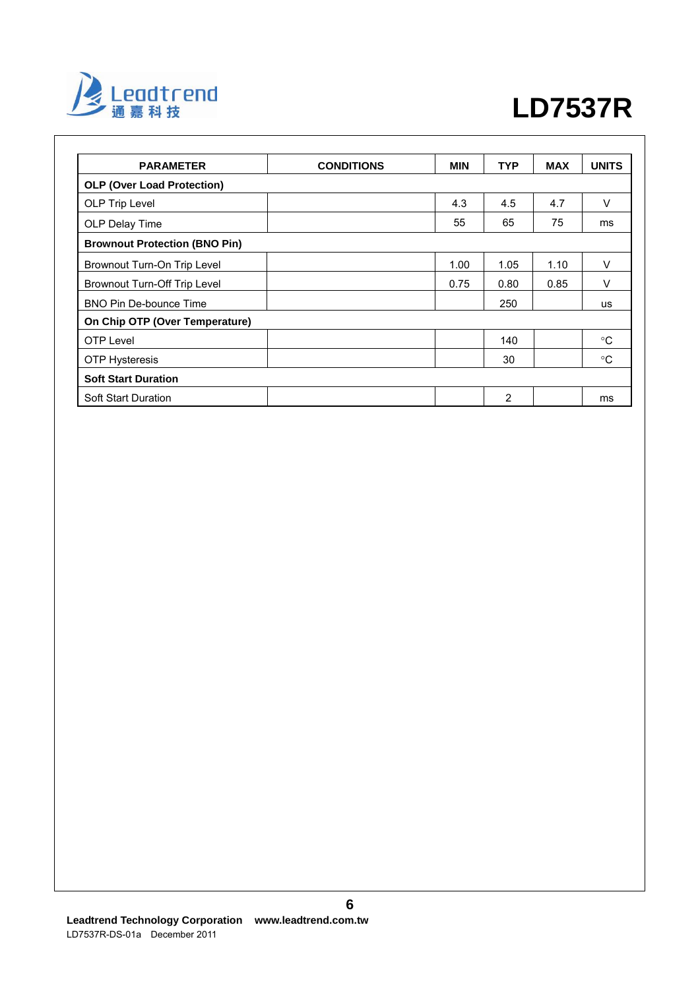

| <b>PARAMETER</b>                     | <b>CONDITIONS</b> | <b>MIN</b> | <b>TYP</b> | <b>MAX</b> | <b>UNITS</b> |
|--------------------------------------|-------------------|------------|------------|------------|--------------|
| <b>OLP (Over Load Protection)</b>    |                   |            |            |            |              |
| OLP Trip Level                       |                   | 4.3        | 4.5        | 4.7        | $\vee$       |
| OLP Delay Time                       |                   | 55         | 65         | 75         | ms           |
| <b>Brownout Protection (BNO Pin)</b> |                   |            |            |            |              |
| Brownout Turn-On Trip Level          |                   | 1.00       | 1.05       | 1.10       | V            |
| Brownout Turn-Off Trip Level         |                   | 0.75       | 0.80       | 0.85       | $\vee$       |
| <b>BNO Pin De-bounce Time</b>        |                   |            | 250        |            | <b>us</b>    |
| On Chip OTP (Over Temperature)       |                   |            |            |            |              |
| <b>OTP Level</b>                     |                   |            | 140        |            | °C           |
| <b>OTP Hysteresis</b>                |                   |            | 30         |            | $^{\circ}C$  |
| <b>Soft Start Duration</b>           |                   |            |            |            |              |
| <b>Soft Start Duration</b>           |                   |            | 2          |            | ms           |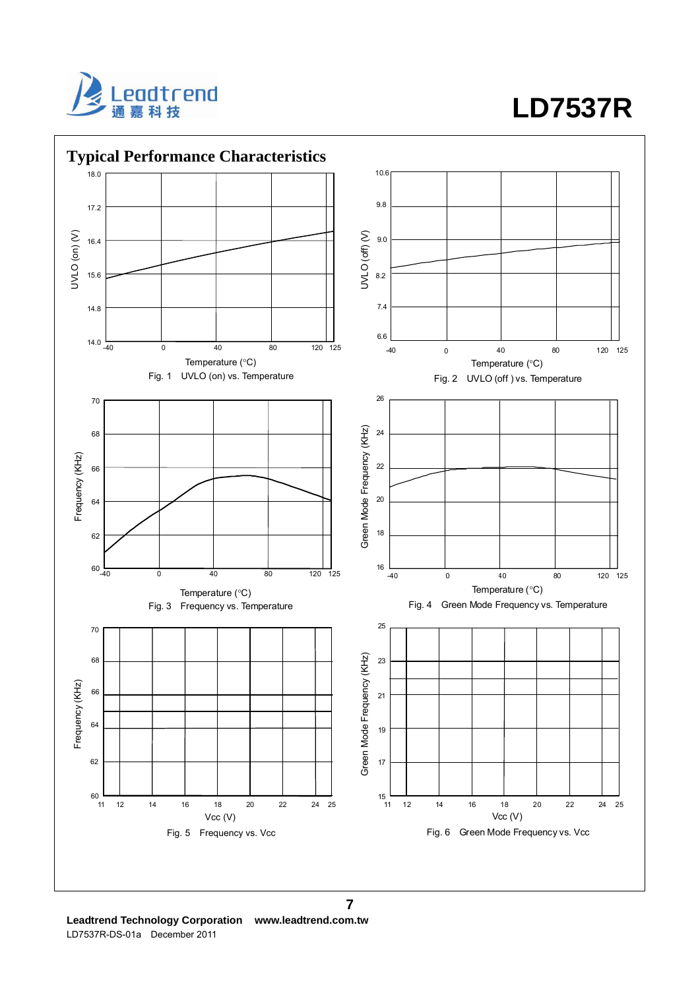



**Leadtrend Technology Corporation www.leadtrend.com.tw**  LD7537R-DS-01a December 2011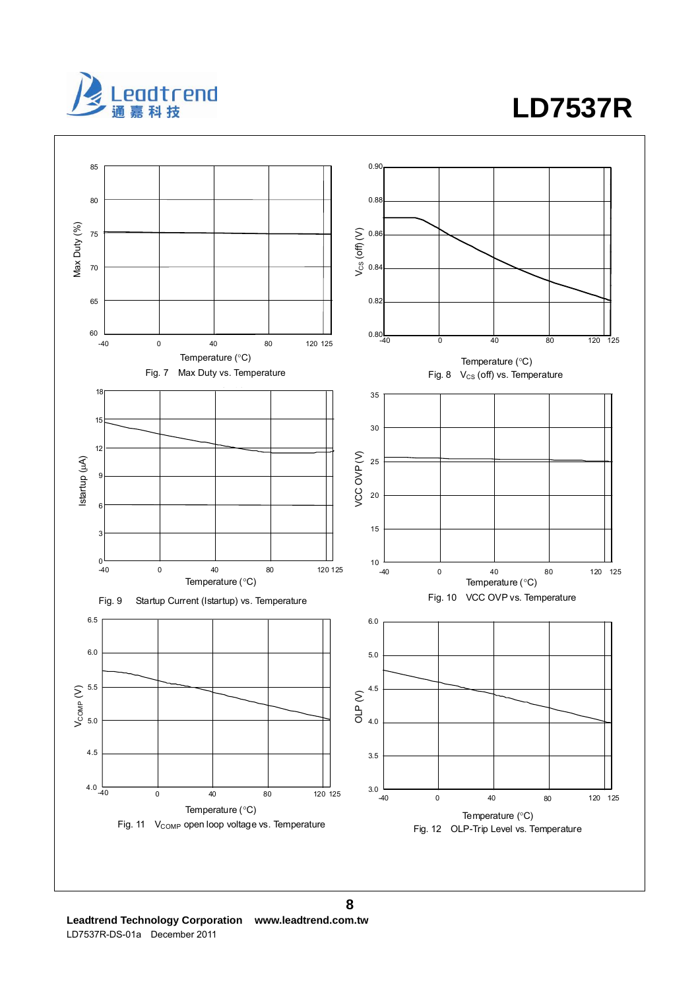

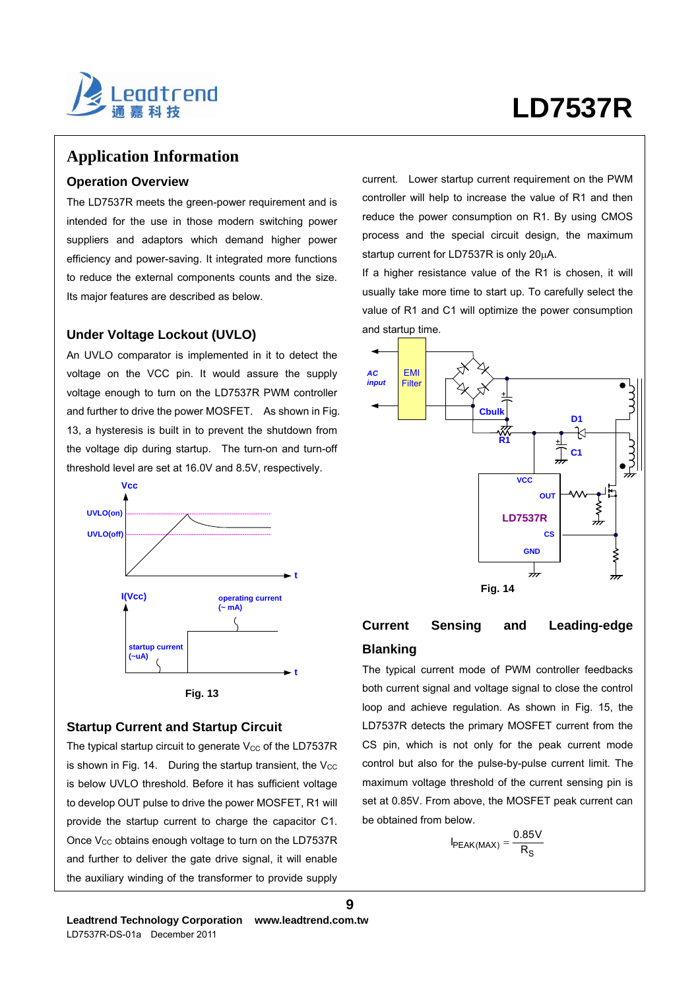

## **Application Information**

### **Operation Overview**

The LD7537R meets the green-power requirement and is intended for the use in those modern switching power suppliers and adaptors which demand higher power efficiency and power-saving. It integrated more functions to reduce the external components counts and the size. Its major features are described as below.

### **Under Voltage Lockout (UVLO)**

An UVLO comparator is implemented in it to detect the voltage on the VCC pin. It would assure the supply voltage enough to turn on the LD7537R PWM controller and further to drive the power MOSFET. As shown in Fig. 13, a hysteresis is built in to prevent the shutdown from the voltage dip during startup. The turn-on and turn-off threshold level are set at 16.0V and 8.5V, respectively.





### **Startup Current and Startup Circuit**

The typical startup circuit to generate  $V_{CC}$  of the LD7537R is shown in Fig. 14. During the startup transient, the  $V_{\text{CC}}$ is below UVLO threshold. Before it has sufficient voltage to develop OUT pulse to drive the power MOSFET, R1 will provide the startup current to charge the capacitor C1. Once  $V_{CC}$  obtains enough voltage to turn on the LD7537R and further to deliver the gate drive signal, it will enable the auxiliary winding of the transformer to provide supply current. Lower startup current requirement on the PWM controller will help to increase the value of R1 and then reduce the power consumption on R1. By using CMOS process and the special circuit design, the maximum startup current for LD7537R is only 20μA.

If a higher resistance value of the R1 is chosen, it will usually take more time to start up. To carefully select the value of R1 and C1 will optimize the power consumption and startup time.



## **Current Sensing and Leading-edge Blanking**

The typical current mode of PWM controller feedbacks both current signal and voltage signal to close the control loop and achieve regulation. As shown in Fig. 15, the LD7537R detects the primary MOSFET current from the CS pin, which is not only for the peak current mode control but also for the pulse-by-pulse current limit. The maximum voltage threshold of the current sensing pin is set at 0.85V. From above, the MOSFET peak current can be obtained from below.

$$
I_{PEAK(MAX)} = \frac{0.85V}{R_S}
$$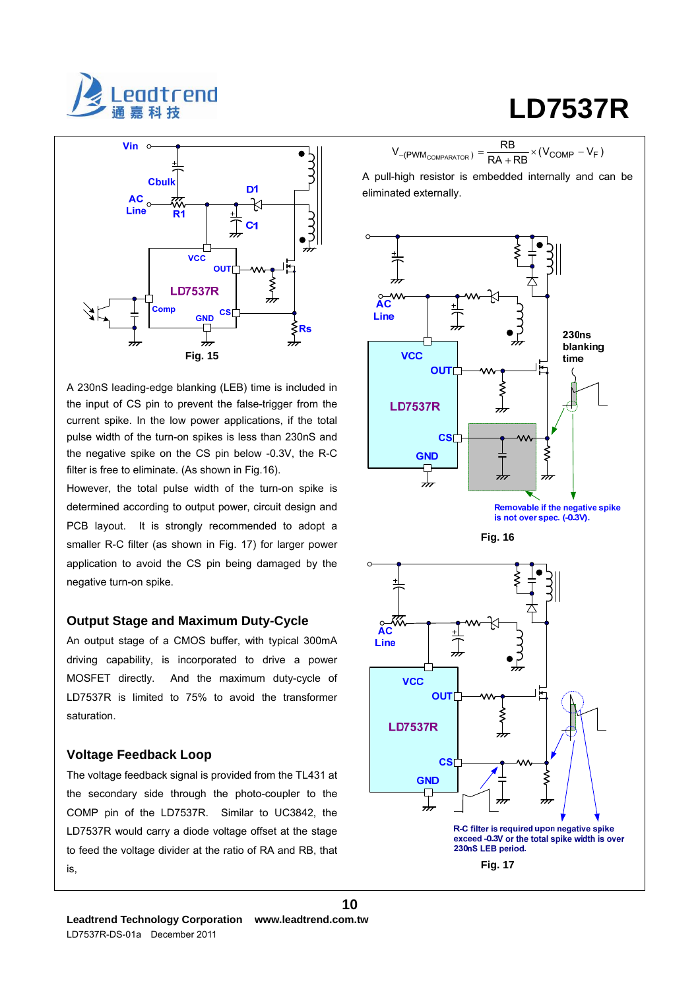



A 230nS leading-edge blanking (LEB) time is included in the input of CS pin to prevent the false-trigger from the current spike. In the low power applications, if the total pulse width of the turn-on spikes is less than 230nS and the negative spike on the CS pin below -0.3V, the R-C filter is free to eliminate. (As shown in Fig.16).

However, the total pulse width of the turn-on spike is determined according to output power, circuit design and PCB layout. It is strongly recommended to adopt a smaller R-C filter (as shown in Fig. 17) for larger power application to avoid the CS pin being damaged by the negative turn-on spike.

#### **Output Stage and Maximum Duty-Cycle**

An output stage of a CMOS buffer, with typical 300mA driving capability, is incorporated to drive a power MOSFET directly. And the maximum duty-cycle of LD7537R is limited to 75% to avoid the transformer saturation.

### **Voltage Feedback Loop**

The voltage feedback signal is provided from the TL431 at the secondary side through the photo-coupler to the COMP pin of the LD7537R. Similar to UC3842, the LD7537R would carry a diode voltage offset at the stage to feed the voltage divider at the ratio of RA and RB, that is,

$$
\mathsf{LD7537R}
$$

$$
V_{-(PWM_{COMPARATOR})} = \frac{RB}{RA + RB} \times (V_{COMP} - V_F)
$$

A pull-high resistor is embedded internally and can be eliminated externally.

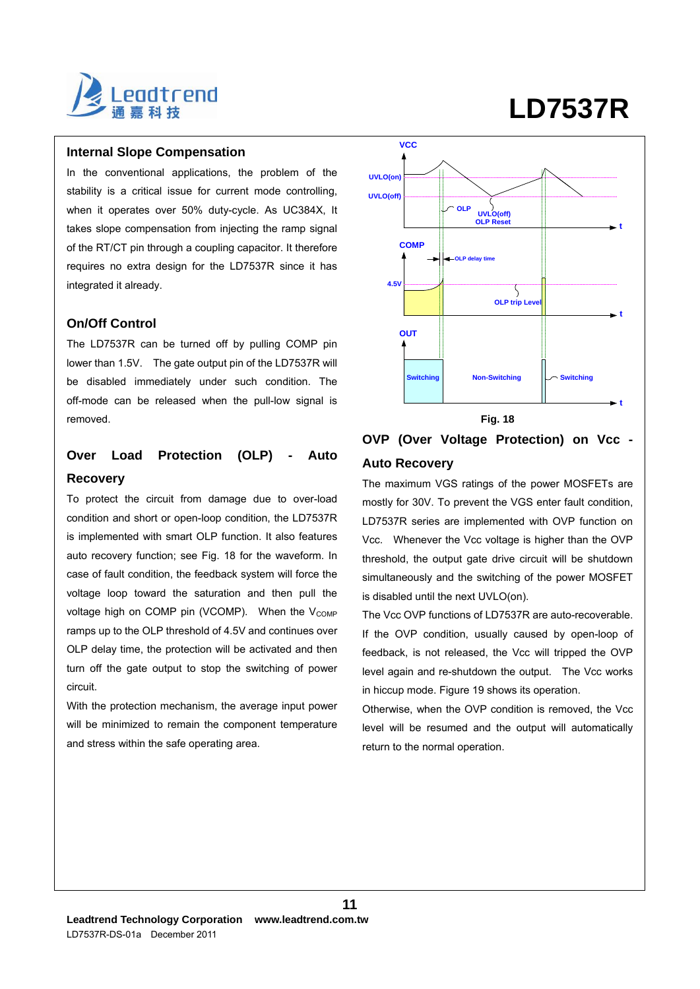

### **Internal Slope Compensation**

In the conventional applications, the problem of the stability is a critical issue for current mode controlling, when it operates over 50% duty-cycle. As UC384X, It takes slope compensation from injecting the ramp signal of the RT/CT pin through a coupling capacitor. It therefore requires no extra design for the LD7537R since it has integrated it already.

### **On/Off Control**

The LD7537R can be turned off by pulling COMP pin lower than 1.5V. The gate output pin of the LD7537R will be disabled immediately under such condition. The off-mode can be released when the pull-low signal is removed.

# **Over Load Protection (OLP) - Auto Recovery**

To protect the circuit from damage due to over-load condition and short or open-loop condition, the LD7537R is implemented with smart OLP function. It also features auto recovery function; see Fig. 18 for the waveform. In case of fault condition, the feedback system will force the voltage loop toward the saturation and then pull the voltage high on COMP pin (VCOMP). When the  $V_{\text{COMP}}$ ramps up to the OLP threshold of 4.5V and continues over OLP delay time, the protection will be activated and then turn off the gate output to stop the switching of power circuit.

With the protection mechanism, the average input power will be minimized to remain the component temperature and stress within the safe operating area.



# **OVP (Over Voltage Protection) on Vcc - Auto Recovery**

The maximum VGS ratings of the power MOSFETs are mostly for 30V. To prevent the VGS enter fault condition, LD7537R series are implemented with OVP function on Vcc. Whenever the Vcc voltage is higher than the OVP threshold, the output gate drive circuit will be shutdown simultaneously and the switching of the power MOSFET is disabled until the next UVLO(on).

The Vcc OVP functions of LD7537R are auto-recoverable. If the OVP condition, usually caused by open-loop of feedback, is not released, the Vcc will tripped the OVP level again and re-shutdown the output. The Vcc works in hiccup mode. Figure 19 shows its operation.

Otherwise, when the OVP condition is removed, the Vcc level will be resumed and the output will automatically return to the normal operation.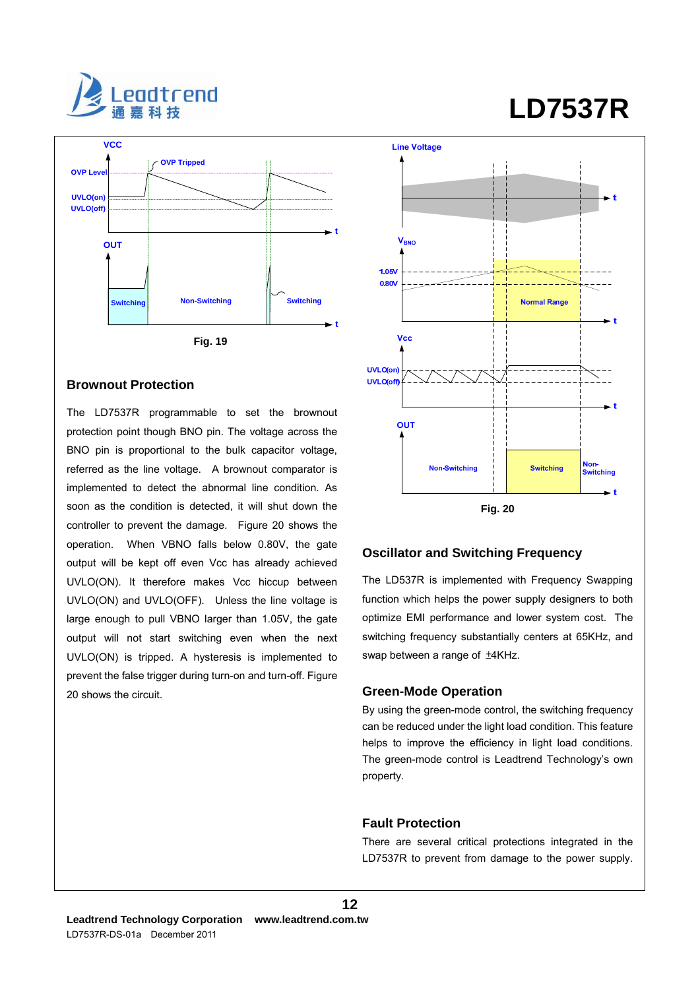



#### **Brownout Protection**

The LD7537R programmable to set the brownout protection point though BNO pin. The voltage across the BNO pin is proportional to the bulk capacitor voltage, referred as the line voltage. A brownout comparator is implemented to detect the abnormal line condition. As soon as the condition is detected, it will shut down the controller to prevent the damage. Figure 20 shows the operation. When VBNO falls below 0.80V, the gate output will be kept off even Vcc has already achieved UVLO(ON). It therefore makes Vcc hiccup between UVLO(ON) and UVLO(OFF). Unless the line voltage is large enough to pull VBNO larger than 1.05V, the gate output will not start switching even when the next UVLO(ON) is tripped. A hysteresis is implemented to prevent the false trigger during turn-on and turn-off. Figure 20 shows the circuit.

# **Line Voltage** V<sub>RNO</sub> 1.05V 0.80 **Normal Range** Vec UVLO(on) UVLO(off) OUT Non-<br>Switching Non-Switching **Switching**



#### **Oscillator and Switching Frequency**

The LD537R is implemented with Frequency Swapping function which helps the power supply designers to both optimize EMI performance and lower system cost. The switching frequency substantially centers at 65KHz, and swap between a range of ±4KHz.

#### **Green-Mode Operation**

By using the green-mode control, the switching frequency can be reduced under the light load condition. This feature helps to improve the efficiency in light load conditions. The green-mode control is Leadtrend Technology's own property.

### **Fault Protection**

**12**

There are several critical protections integrated in the LD7537R to prevent from damage to the power supply.

# **LD7537R**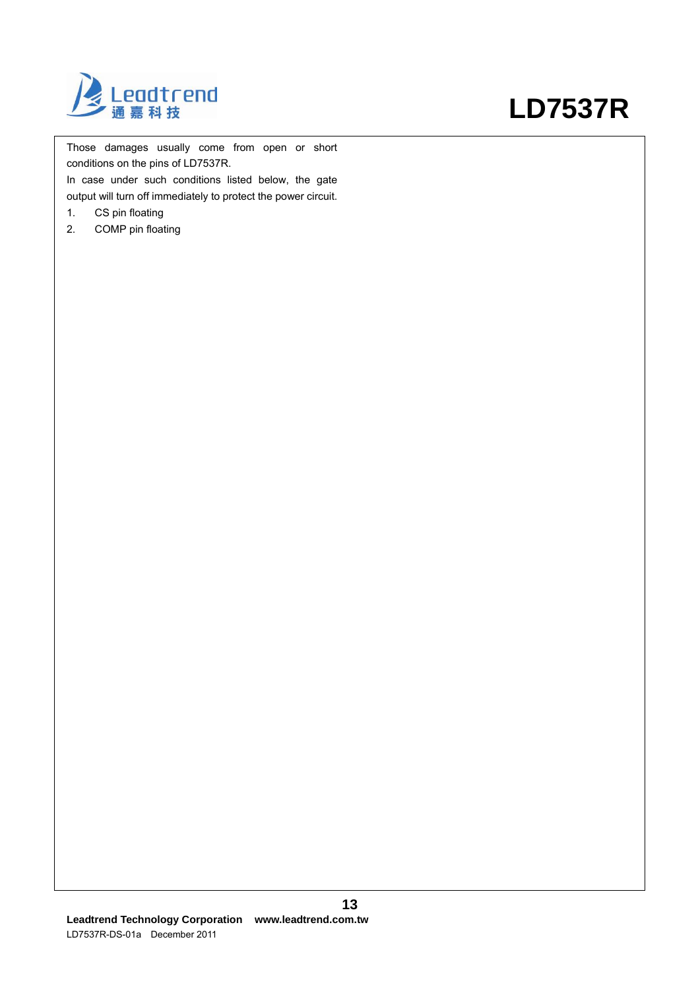

Those damages usually come from open or short conditions on the pins of LD7537R.

In case under such conditions listed below, the gate output will turn off immediately to protect the power circuit.

- 1. CS pin floating
- 2. COMP pin floating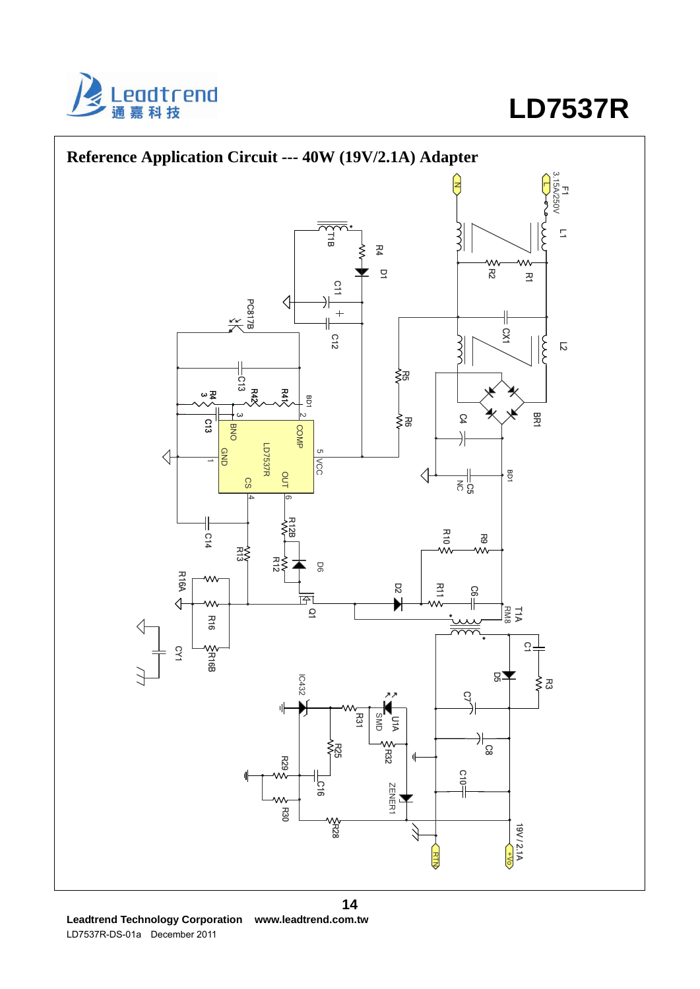



**Leadtrend Technology Corporation www.leadtrend.com.tw**  LD7537R-DS-01a December 2011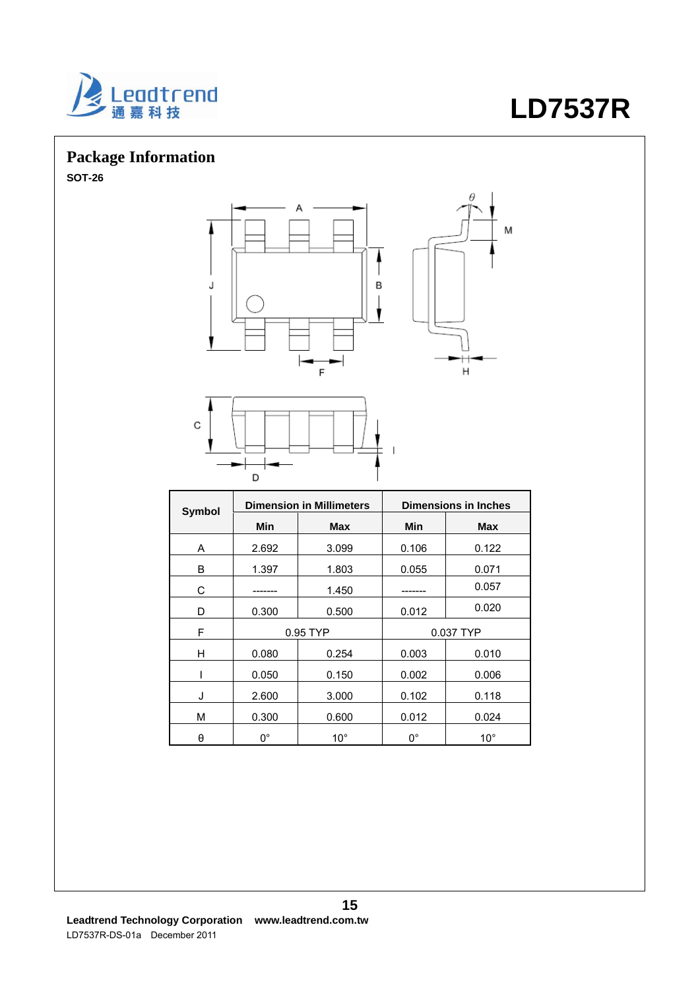

# **Package Information**

**SOT-26** 





| Symbol | <b>Dimension in Millimeters</b> |              | <b>Dimensions in Inches</b> |              |  |
|--------|---------------------------------|--------------|-----------------------------|--------------|--|
|        | Min                             | <b>Max</b>   | Min                         | <b>Max</b>   |  |
| A      | 2.692                           | 3.099        | 0.106                       | 0.122        |  |
| B      | 1.397                           | 1.803        | 0.055                       | 0.071        |  |
| С      |                                 | 1.450        |                             | 0.057        |  |
| D      | 0.300                           | 0.500        | 0.012                       | 0.020        |  |
| F      | 0.95 TYP                        |              | 0.037 TYP                   |              |  |
| H      | 0.080                           | 0.254        | 0.003                       | 0.010        |  |
|        | 0.050                           | 0.150        | 0.002                       | 0.006        |  |
| J      | 2.600                           | 3.000        | 0.102                       | 0.118        |  |
| M      | 0.300                           | 0.600        | 0.012                       | 0.024        |  |
| θ      | $0^{\circ}$                     | $10^{\circ}$ | $0^{\circ}$                 | $10^{\circ}$ |  |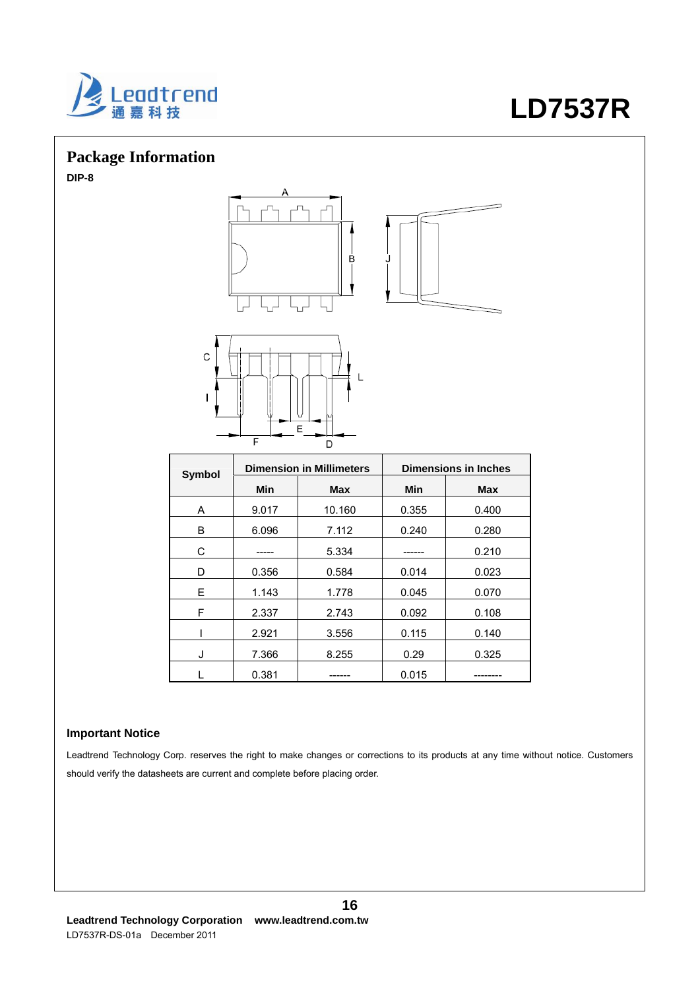

# **Package Information**

**DIP-8** 



| <b>Symbol</b> |       | <b>Dimension in Millimeters</b><br><b>Dimensions in Inches</b> |       |            |
|---------------|-------|----------------------------------------------------------------|-------|------------|
|               | Min   | <b>Max</b>                                                     | Min   | <b>Max</b> |
| A             | 9.017 | 10.160                                                         | 0.355 | 0.400      |
| в             | 6.096 | 7.112                                                          | 0.240 | 0.280      |
| C             |       | 5.334                                                          |       | 0.210      |
| D             | 0.356 | 0.584                                                          | 0.014 | 0.023      |
| F.            | 1.143 | 1.778                                                          | 0.045 | 0.070      |
| F             | 2.337 | 2.743                                                          | 0.092 | 0.108      |
|               | 2.921 | 3.556                                                          | 0.115 | 0.140      |
| J             | 7.366 | 8.255                                                          | 0.29  | 0.325      |
|               | 0.381 |                                                                | 0.015 | _____      |

### **Important Notice**

Leadtrend Technology Corp. reserves the right to make changes or corrections to its products at any time without notice. Customers should verify the datasheets are current and complete before placing order.